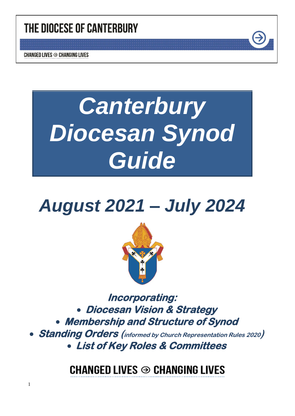# THE DIOCESE OF CANTERBURY

**CHANGED LIVES → CHANGING LIVES** 

1

# *Canterbury Diocesan Synod Guide*

# *August 2021 – July 2024*



**Incorporating:**  • **Diocesan Vision & Strategy**  • **Membership and Structure of Synod** 

• **Standing Orders (informed by Church Representation Rules <sup>2020</sup>)**  • **List of Key Roles & Committees** 

**CHANGED LIVES → CHANGING LIVES**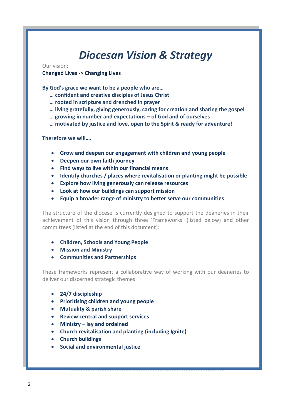## *Diocesan Vision & Strategy*

#### Our vision:

#### **Changed Lives -> Changing Lives**

**By God's grace we want to be a people who are…**

- **… confident and creative disciples of Jesus Christ**
- **… rooted in scripture and drenched in prayer**
- **… living gratefully, giving generously, caring for creation and sharing the gospel**
- **… growing in number and expectations – of God and of ourselves**
- **… motivated by justice and love, open to the Spirit & ready for adventure!**

**Therefore we will….**

- **Grow and deepen our engagement with children and young people**
- **Deepen our own faith journey**
- **Find ways to live within our financial means**
- **Identify churches / places where revitalisation or planting might be possible**
- **Explore how living generously can release resources**
- **Look at how our buildings can support mission**
- **Equip a broader range of ministry to better serve our communities**

The structure of the diocese is currently designed to support the deaneries in their achievement of this vision through three 'Frameworks' (listed below) and other committees (listed at the end of this document):

- **Children, Schools and Young People**
- **Mission and Ministry**
- **Communities and Partnerships**

These frameworks represent a collaborative way of working with our deaneries to deliver our discerned strategic themes:

- **24/7 discipleship**
- **Prioritising children and young people**
- **Mutuality & parish share**
- **Review central and support services**
- **Ministry – lay and ordained**
- **Church revitalisation and planting (including Ignite)**
- **Church buildings**
- **Social and environmental justice**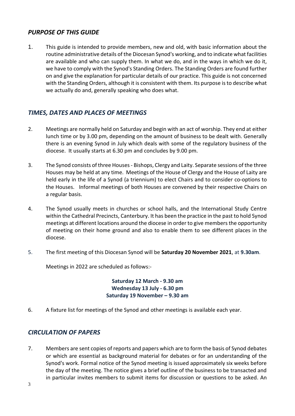## *PURPOSE OF THIS GUIDE*

1. This guide is intended to provide members, new and old, with basic information about the routine administrative details of the Diocesan Synod's working, and to indicate what facilities are available and who can supply them. In what we do, and in the ways in which we do it, we have to comply with the Synod's Standing Orders. The Standing Orders are found further on and give the explanation for particular details of our practice. This guide is not concerned with the Standing Orders, although it is consistent with them. Its purpose is to describe what we actually do and, generally speaking who does what.

## *TIMES, DATES AND PLACES OF MEETINGS*

- 2. Meetings are normally held on Saturday and begin with an act of worship. They end at either lunch time or by 3.00 pm, depending on the amount of business to be dealt with. Generally there is an evening Synod in July which deals with some of the regulatory business of the diocese. It usually starts at 6.30 pm and concludes by 9.00 pm.
- 3. The Synod consists of three Houses Bishops, Clergy and Laity. Separate sessions of the three Houses may be held at any time. Meetings of the House of Clergy and the House of Laity are held early in the life of a Synod (a triennium) to elect Chairs and to consider co-options to the Houses. Informal meetings of both Houses are convened by their respective Chairs on a regular basis.
- 4. The Synod usually meets in churches or school halls, and the International Study Centre within the Cathedral Precincts, Canterbury. It has been the practice in the past to hold Synod meetings at different locations around the diocese in order to give members the opportunity of meeting on their home ground and also to enable them to see different places in the diocese.
- 5. The first meeting of this Diocesan Synod will be **Saturday 20 November 2021**, at **9.30am**.

Meetings in 2022 are scheduled as follows:-

**Saturday 12 March - 9.30 am Wednesday 13 July - 6.30 pm Saturday 19 November – 9.30 am**

6. A fixture list for meetings of the Synod and other meetings is available each year.

## *CIRCULATION OF PAPERS*

7. Members are sent copies of reports and papers which are to form the basis of Synod debates or which are essential as background material for debates or for an understanding of the Synod's work. Formal notice of the Synod meeting is issued approximately six weeks before the day of the meeting. The notice gives a brief outline of the business to be transacted and in particular invites members to submit items for discussion or questions to be asked. An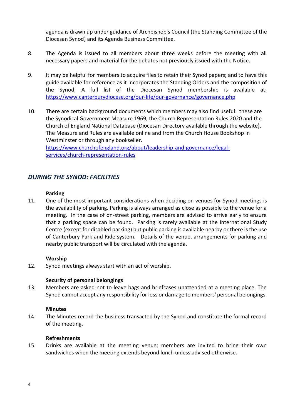agenda is drawn up under guidance of Archbishop's Council (the Standing Committee of the Diocesan Synod) and its Agenda Business Committee.

- 8. The Agenda is issued to all members about three weeks before the meeting with all necessary papers and material for the debates not previously issued with the Notice.
- 9. It may be helpful for members to acquire files to retain their Synod papers; and to have this guide available for reference as it incorporates the Standing Orders and the composition of the Synod. A full list of the Diocesan Synod membership is available at: <https://www.canterburydiocese.org/our-life/our-governance/governance.php>
- 10. There are certain background documents which members may also find useful: these are the Synodical Government Measure 1969, the Church Representation Rules 2020 and the Church of England National Database (Diocesan Directory available through the website). The Measure and Rules are available online and from the Church House Bookshop in Westminster or through any bookseller.

[https://www.churchofengland.org/about/leadership-and-governance/legal](https://www.churchofengland.org/about/leadership-and-governance/legal-services/church-representation-rules)[services/church-representation-rules](https://www.churchofengland.org/about/leadership-and-governance/legal-services/church-representation-rules)

## *DURING THE SYNOD: FACILITIES*

#### **Parking**

11. One of the most important considerations when deciding on venues for Synod meetings is the availability of parking. Parking is always arranged as close as possible to the venue for a meeting. In the case of on-street parking, members are advised to arrive early to ensure that a parking space can be found. Parking is rarely available at the International Study Centre (except for disabled parking) but public parking is available nearby or there is the use of Canterbury Park and Ride system. Details of the venue, arrangements for parking and nearby public transport will be circulated with the agenda.

#### **Worship**

12. Synod meetings always start with an act of worship.

#### **Security of personal belongings**

13. Members are asked not to leave bags and briefcases unattended at a meeting place. The Synod cannot accept any responsibility for loss or damage to members' personal belongings.

#### **Minutes**

14. The Minutes record the business transacted by the Synod and constitute the formal record of the meeting.

#### **Refreshments**

15. Drinks are available at the meeting venue; members are invited to bring their own sandwiches when the meeting extends beyond lunch unless advised otherwise.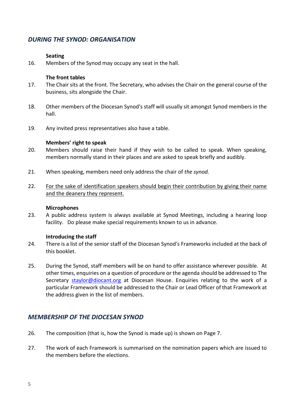## *DURING THE SYNOD: ORGANISATION*

#### **Seating**

16. Members of the Synod may occupy any seat in the hall.

#### **The front tables**

- 17. The Chair sits at the front. The Secretary, who advises the Chair on the general course of the business, sits alongside the Chair.
- 18. Other members of the Diocesan Synod's staff will usually sit amongst Synod members in the hall.
- 19. Any invited press representatives also have a table.

#### **Members' right to speak**

- 20. Members should raise their hand if they wish to be called to speak. When speaking, members normally stand in their places and are asked to speak briefly and audibly.
- 21. When speaking, members need only address the chair of *the synod.*
- 22. For the sake of identification speakers should begin their contribution by giving their name and the deanery they represent.

#### **Microphones**

23. A public address system is always available at Synod Meetings, including a hearing loop facility. Do please make special requirements known to us in advance.

#### **Introducing the staff**

- 24. There is a list of the senior staff of the Diocesan Synod's Frameworks included at the back of this booklet.
- 25. During the Synod, staff members will be on hand to offer assistance wherever possible. At other times, enquiries on a question of procedure or the agenda should be addressed to The Secretary [staylor@diocant.org](mailto:staylor@diocant.org) at Diocesan House. Enquiries relating to the work of a particular Framework should be addressed to the Chair or Lead Officer of that Framework at the address given in the list of members.

## *MEMBERSHIP OF THE DIOCESAN SYNOD*

- 26. The composition (that is, how the Synod is made up) is shown on Page 7.
- 27. The work of each Framework is summarised on the nomination papers which are issued to the members before the elections.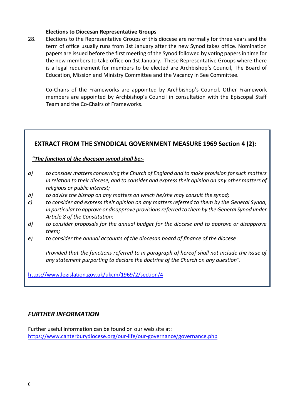#### **Elections to Diocesan Representative Groups**

28. Elections to the Representative Groups of this diocese are normally for three years and the term of office usually runs from 1st January after the new Synod takes office. Nomination papers are issued before the first meeting of the Synod followed by voting papers in time for the new members to take office on 1st January. These Representative Groups where there is a legal requirement for members to be elected are Archbishop's Council, The Board of Education, Mission and Ministry Committee and the Vacancy in See Committee.

Co-Chairs of the Frameworks are appointed by Archbishop's Council. Other Framework members are appointed by Archbishop's Council in consultation with the Episcopal Staff Team and the Co-Chairs of Frameworks.

## **EXTRACT FROM THE SYNODICAL GOVERNMENT MEASURE 1969 Section 4 (2):**

## *"The function of the diocesan synod shall be:-*

- *a) to consider matters concerning the Church of England and to make provision for such matters in relation to their diocese, and to consider and express their opinion on any other matters of religious or public interest;*
- *b) to advise the bishop on any matters on which he/she may consult the synod;*
- *c) to consider and express their opinion on any matters referred to them by the General Synod, in particular to approve or disapprove provisions referred to them by the General Synod under Article 8 of the Constitution:*
- *d) to consider proposals for the annual budget for the diocese and to approve or disapprove them;*
- *e) to consider the annual accounts of the diocesan board of finance of the diocese*

*Provided that the functions referred to in paragraph a) hereof shall not include the issue of any statement purporting to declare the doctrine of the Church on any question".*

<https://www.legislation.gov.uk/ukcm/1969/2/section/4>

## *FURTHER INFORMATION*

Further useful information can be found on our web site at: <https://www.canterburydiocese.org/our-life/our-governance/governance.php>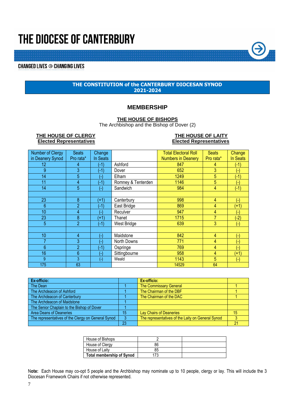# THE DIOCESE OF CANTERBURY

## **CHANGED LIVES → CHANGING LIVES**

#### **THE CONSTITUTION of the CANTERBURY DIOCESAN SYNOD 2021-2024**

#### **MEMBERSHIP**

#### **THE HOUSE OF BISHOPS**

The Archbishop and the Bishop of Dover (2)

#### THE HOUSE OF CLERGY<br> **Elected Representatives**<br> **Elected Representatives**<br> **Elected Representatives Elected Representatives Elected Representatives**

| Number of Clergy | <b>Seats</b>   | Change             |                    | <b>Total Electoral Roll</b> | <b>Seats</b> | Change   |
|------------------|----------------|--------------------|--------------------|-----------------------------|--------------|----------|
| in Deanery Synod | Pro rata*      | In Seats           |                    | <b>Numbers in Deanery</b>   | Pro rata*    | In Seats |
| 12               | 4              | (-1)               | Ashford            | 847                         | 4            | $(-1)$   |
| 9                | 3              | $(-1)$             | Dover              | 652                         | 3            |          |
| 14               | 5              | н                  | Elham              | 1249                        | 5            | $-1$     |
| 11               | 4              | $(-1)$             | Romney & Tenterden | 1146                        | 5            | Ξ        |
| 14               | 5              | ۸                  | Sandwich           | 984                         | 4            | $(-1)$   |
|                  |                |                    |                    |                             |              |          |
| 23               | 8              | $(+1)$             | Canterbury         | 998                         | 4            | ۸        |
| 6                | $\overline{2}$ | $(-1)$             | East Bridge        | 869                         | 4            | $(+1)$   |
| 10               | 4              | H                  | Reculver           | 947                         | 4            | ÷        |
| 23               | 8              | $(+1)$             | Thanet             | 1715                        |              | $-2)$    |
| 5                | $\overline{2}$ | $(-1)$             | West Bridge        | 639                         | 3            | ٠.       |
|                  |                |                    |                    |                             |              |          |
| 10               | 4              | ( –                | Maidstone          | 842                         | 4            | ۳        |
| 7                | 3              | ۸                  | North Downs        | 771                         | 4            | ۰        |
| 6                | $\overline{2}$ | $(-1)$             | Ospringe           | 769                         | 4            | Ξ        |
| 16               | 6              | ۸                  | Sittingbourne      | 958                         | 4            | $(+1)$   |
| 9                | 3              | $(\textnormal{-})$ | Weald              | 1143                        | 5            | (-)      |
| 175              | 63             |                    |                    | 14529                       | 64           |          |

| Ex-officio:                                        |    | Ex-officio:                                       |    |
|----------------------------------------------------|----|---------------------------------------------------|----|
| The Dean                                           |    | <b>The Commissary General</b>                     |    |
| The Archdeacon of Ashford                          |    | The Chairman of the DBF                           |    |
| The Archdeacon of Canterbury                       |    | The Chairman of the DAC                           |    |
| The Archdeacon of Maidstone                        |    |                                                   |    |
| The Senior Chaplain to the Bishop of Dover         |    |                                                   |    |
| Area Deans of Deaneries                            | 15 | Lay Chairs of Deaneries                           | 15 |
| The representatives of the Clergy on General Synod |    | The representatives of the Laity on General Synod |    |
|                                                    | 23 |                                                   | 21 |

| House of Bishops                 |    |  |
|----------------------------------|----|--|
| House of Clergy                  | 86 |  |
| House of Laity                   | 85 |  |
| <b>Total membership of Synod</b> | 73 |  |

N**ote:** Each House may co-opt 5 people and the Archbishop may nominate up to 10 people, clergy or lay. This will include the 3 Diocesan Framework Chairs if not otherwise represented.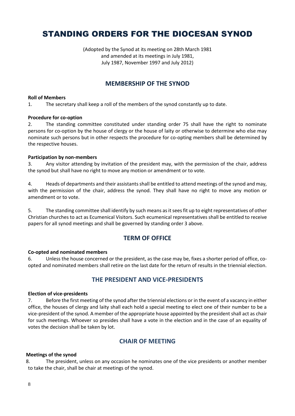## STANDING ORDERS FOR THE DIOCESAN SYNOD

(Adopted by the Synod at its meeting on 28th March 1981 and amended at its meetings in July 1981, July 1987, November 1997 and July 2012)

## **MEMBERSHIP OF THE SYNOD**

#### **Roll of Members**

1. The secretary shall keep a roll of the members of the synod constantly up to date.

#### **Procedure for co-option**

2. The standing committee constituted under standing order 75 shall have the right to nominate persons for co-option by the house of clergy or the house of laity or otherwise to determine who else may nominate such persons but in other respects the procedure for co-opting members shall be determined by the respective houses.

#### **Participation by non-members**

3. Any visitor attending by invitation of the president may, with the permission of the chair, address the synod but shall have no right to move any motion or amendment or to vote.

4. Heads of departments and their assistants shall be entitled to attend meetings of the synod and may, with the permission of the chair, address the synod. They shall have no right to move any motion or amendment or to vote.

5. The standing committee shall identify by such means as it sees fit up to eight representatives of other Christian churches to act as Ecumenical Visitors. Such ecumenical representatives shall be entitled to receive papers for all synod meetings and shall be governed by standing order 3 above.

## **TERM OF OFFICE**

#### **Co-opted and nominated members**

6. Unless the house concerned or the president, as the case may be, fixes a shorter period of office, coopted and nominated members shall retire on the last date for the return of results in the triennial election.

## **THE PRESIDENT AND VICE-PRESIDENTS**

#### **Election of vice-presidents**

7. Before the first meeting of the synod after the triennial elections or in the event of a vacancy in either office, the houses of clergy and laity shall each hold a special meeting to elect one of their number to be a vice-president of the synod. A member of the appropriate house appointed by the president shall act as chair for such meetings. Whoever so presides shall have a vote in the election and in the case of an equality of votes the decision shall be taken by lot.

## **CHAIR OF MEETING**

#### **Meetings of the synod**

 8. The president, unless on any occasion he nominates one of the vice presidents or another member to take the chair, shall be chair at meetings of the synod.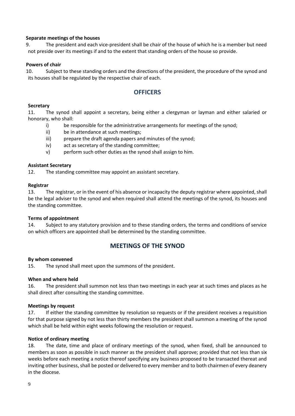#### **Separate meetings of the houses**

 9. The president and each vice-president shall be chair of the house of which he is a member but need not preside over its meetings if and to the extent that standing orders of the house so provide.

#### **Powers of chair**

 10. Subject to these standing orders and the directions of the president, the procedure of the synod and its houses shall be regulated by the respective chair of each.

## **OFFICERS**

#### **Secretary**

11. The synod shall appoint a secretary, being either a clergyman or layman and either salaried or honorary, who shall:

- i) be responsible for the administrative arrangements for meetings of the synod;
- ii) be in attendance at such meetings;
- iii) prepare the draft agenda papers and minutes of the synod:
- iv) act as secretary of the standing committee;
- v) perform such other duties as the synod shall assign to him.

#### **Assistant Secretary**

12. The standing committee may appoint an assistant secretary.

#### **Registrar**

13. The registrar, or in the event of his absence or incapacity the deputy registrar where appointed, shall be the legal adviser to the synod and when required shall attend the meetings of the synod, its houses and the standing committee.

#### **Terms of appointment**

14. Subject to any statutory provision and to these standing orders, the terms and conditions of service on which officers are appointed shall be determined by the standing committee.

#### **MEETINGS OF THE SYNOD**

#### **By whom convened**

15. The synod shall meet upon the summons of the president.

#### **When and where held**

16. The president shall summon not less than two meetings in each year at such times and places as he shall direct after consulting the standing committee.

#### **Meetings by request**

17. If either the standing committee by resolution so requests or if the president receives a requisition for that purpose signed by not less than thirty members the president shall summon a meeting of the synod which shall be held within eight weeks following the resolution or request.

#### **Notice of ordinary meeting**

18. The date, time and place of ordinary meetings of the synod, when fixed, shall be announced to members as soon as possible in such manner as the president shall approve; provided that not less than six weeks before each meeting a notice thereof specifying any business proposed to be transacted thereat and inviting other business, shall be posted or delivered to every member and to both chairmen of every deanery in the diocese.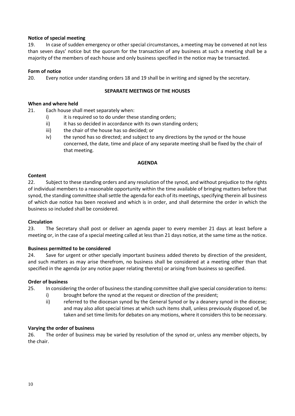#### **Notice of special meeting**

19. In case of sudden emergency or other special circumstances, a meeting may be convened at not less than seven days' notice but the quorum for the transaction of any business at such a meeting shall be a majority of the members of each house and only business specified in the notice may be transacted.

#### **Form of notice**

20. Every notice under standing orders 18 and 19 shall be in writing and signed by the secretary.

#### **SEPARATE MEETINGS OF THE HOUSES**

#### **When and where held**

21. Each house shall meet separately when:

- i) it is required so to do under these standing orders;
- ii) ii it has so decided in accordance with its own standing orders;
- iii) the chair of the house has so decided; or
- iv) the synod has so directed; and subject to any directions by the synod or the house concerned, the date, time and place of any separate meeting shall be fixed by the chair of that meeting.

#### **AGENDA**

#### **Content**

22. Subject to these standing orders and any resolution of the synod, and without prejudice to the rights of individual members to a reasonable opportunity within the time available of bringing matters before that synod, the standing committee shall settle the agenda for each of its meetings, specifying therein all business of which due notice has been received and which is in order, and shall determine the order in which the business so included shall be considered.

#### **Circulation**

23. The Secretary shall post or deliver an agenda paper to every member 21 days at least before a meeting or, in the case of a special meeting called at less than 21 days notice, at the same time as the notice.

#### **Business permitted to be considered**

24. Save for urgent or other specially important business added thereto by direction of the president, and such matters as may arise therefrom, no business shall be considered at a meeting other than that specified in the agenda (or any notice paper relating thereto) or arising from business so specified.

#### **Order of business**

- 25. In considering the order of business the standing committee shall give special consideration to items:
	- i) brought before the synod at the request or direction of the president;
	- ii) referred to the diocesan synod by the General Synod or by a deanery synod in the diocese; and may also allot special times at which such items shall, unless previously disposed of, be taken and set time limits for debates on any motions, where it considers this to be necessary.

#### **Varying the order of business**

26. The order of business may be varied by resolution of the synod or, unless any member objects, by the chair.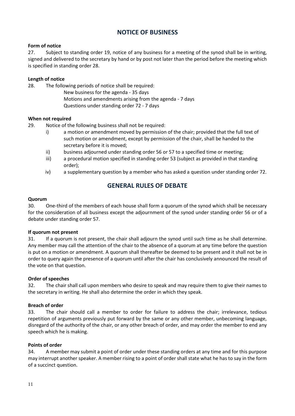## **NOTICE OF BUSINESS**

#### **Form of notice**

27. Subject to standing order 19, notice of any business for a meeting of the synod shall be in writing, signed and delivered to the secretary by hand or by post not later than the period before the meeting which is specified in standing order 28.

#### **Length of notice**

28. The following periods of notice shall be required:

New business for the agenda - 35 days Motions and amendments arising from the agenda - 7 days Questions under standing order 72 - 7 days

#### **When not required**

- 29. Notice of the following business shall not be required:
	- i) a motion or amendment moved by permission of the chair; provided that the full text of such motion or amendment, except by permission of the chair, shall be handed to the secretary before it is moved;
	- ii) business adjourned under standing order 56 or 57 to a specified time or meeting;
	- iii) a procedural motion specified in standing order 53 (subject as provided in that standing order);
	- iv) a supplementary question by a member who has asked a question under standing order 72.

## **GENERAL RULES OF DEBATE**

#### **Quorum**

30. One-third of the members of each house shall form a quorum of the synod which shall be necessary for the consideration of all business except the adjournment of the synod under standing order 56 or of a debate under standing order 57.

#### **If quorum not present**

31. If a quorum is not present, the chair shall adjourn the synod until such time as he shall determine. Any member may call the attention of the chair to the absence of a quorum at any time before the question is put on a motion or amendment. A quorum shall thereafter be deemed to be present and it shall not be in order to query again the presence of a quorum until after the chair has conclusively announced the result of the vote on that question.

#### **Order of speeches**

32. The chair shall call upon members who desire to speak and may require them to give their names to the secretary in writing. He shall also determine the order in which they speak.

#### **Breach of order**

33. The chair should call a member to order for failure to address the chair; irrelevance, tedious repetition of arguments previously put forward by the same or any other member, unbecoming language, disregard of the authority of the chair, or any other breach of order, and may order the member to end any speech which he is making.

#### **Points of order**

34. A member may submit a point of order under these standing orders at any time and for this purpose may interrupt another speaker. A member rising to a point of order shall state what he has to say in the form of a succinct question.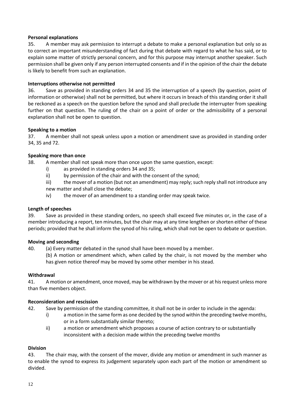#### **Personal explanations**

35. A member may ask permission to interrupt a debate to make a personal explanation but only so as to correct an important misunderstanding of fact during that debate with regard to what he has said, or to explain some matter of strictly personal concern, and for this purpose may interrupt another speaker. Such permission shall be given only if any person interrupted consents and if in the opinion of the chair the debate is likely to benefit from such an explanation.

#### **Interruptions otherwise not permitted**

36. Save as provided in standing orders 34 and 35 the interruption of a speech (by question, point of information or otherwise) shall not be permitted, but where it occurs in breach of this standing order it shall be reckoned as a speech on the question before the synod and shall preclude the interrupter from speaking further on that question. The ruling of the chair on a point of order or the admissibility of a personal explanation shall not be open to question.

#### **Speaking to a motion**

37. A member shall not speak unless upon a motion or amendment save as provided in standing order 34, 35 and 72.

#### **Speaking more than once**

38. A member shall not speak more than once upon the same question, except:

- i) as provided in standing orders 34 and 35;
- ii) by permission of the chair and with the consent of the synod;

iii) the mover of a motion (but not an amendment) may reply; such reply shall not introduce any new matter and shall close the debate;

iv) the mover of an amendment to a standing order may speak twice.

#### **Length of speeches**

39. Save as provided in these standing orders, no speech shall exceed five minutes or, in the case of a member introducing a report, ten minutes, but the chair may at any time lengthen or shorten either of these periods; provided that he shall inform the synod of his ruling, which shall not be open to debate or question.

#### **Moving and seconding**

40. (a) Every matter debated in the synod shall have been moved by a member.

(b) A motion or amendment which, when called by the chair, is not moved by the member who has given notice thereof may be moved by some other member in his stead.

#### **Withdrawal**

41. A motion or amendment, once moved, may be withdrawn by the mover or at his request unless more than five members object.

#### **Reconsideration and rescission**

42. Save by permission of the standing committee, it shall not be in order to include in the agenda:

- i) a motion in the same form as one decided by the synod within the preceding twelve months, or in a form substantially similar thereto;
- ii) a motion or amendment which proposes a course of action contrary to or substantially inconsistent with a decision made within the preceding twelve months

#### **Division**

43. The chair may, with the consent of the mover, divide any motion or amendment in such manner as to enable the synod to express its judgement separately upon each part of the motion or amendment so divided.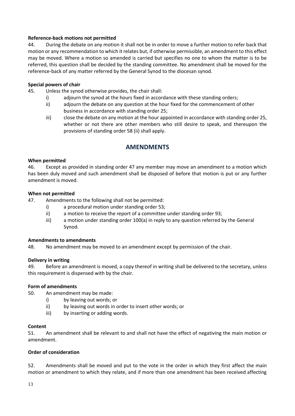#### **Reference-back motions not permitted**

44. During the debate on any motion it shall not be in order to move a further motion to refer back that motion or any recommendation to which it relates but, if otherwise permissible, an amendment to this effect may be moved. Where a motion so amended is carried but specifies no one to whom the matter is to be referred, this question shall be decided by the standing committee. No amendment shall be moved for the reference-back of any matter referred by the General Synod to the diocesan synod.

#### **Special powers of chair**

- 45. Unless the synod otherwise provides, the chair shall:
	- i) adjourn the synod at the hours fixed in accordance with these standing orders;
	- ii) adjourn the debate on any question at the hour fixed for the commencement of other business in accordance with standing order 25;
	- iii) close the debate on any motion at the hour appointed in accordance with standing order 25, whether or not there are other members who still desire to speak, and thereupon the provisions of standing order 58 (ii) shall apply.

## **AMENDMENTS**

#### **When permitted**

46. Except as provided in standing order 47 any member may move an amendment to a motion which has been duly moved and such amendment shall be disposed of before that motion is put or any further amendment is moved.

#### **When not permitted**

47. Amendments to the following shall not be permitted:

- i) a procedural motion under standing order 53;
- ii) a motion to receive the report of a committee under standing order 93;
- iii) a motion under standing order 100(a) in reply to any question referred by the General Synod.

#### **Amendments to amendments**

48. No amendment may be moved to an amendment except by permission of the chair.

#### **Delivery in writing**

49. Before an amendment is moved, a copy thereof in writing shall be delivered to the secretary, unless this requirement is dispensed with by the chair.

#### **Form of amendments**

- 50. An amendment may be made:
	- i) by leaving out words; or
	- ii) by leaving out words in order to insert other words; or
	- iii) by inserting or adding words.

#### **Content**

51. An amendment shall be relevant to and shall not have the effect of negativing the main motion or amendment.

#### **Order of consideration**

52. Amendments shall be moved and put to the vote in the order in which they first affect the main motion or amendment to which they relate, and if more than one amendment has been received affecting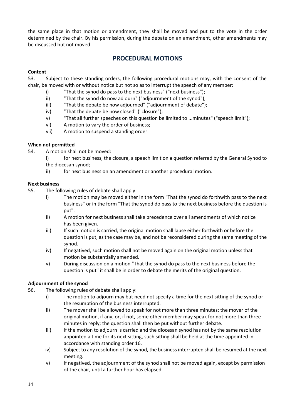the same place in that motion or amendment, they shall be moved and put to the vote in the order determined by the chair. By his permission, during the debate on an amendment, other amendments may be discussed but not moved.

## **PROCEDURAL MOTIONS**

#### **Content**

53. Subject to these standing orders, the following procedural motions may, with the consent of the chair, be moved with or without notice but not so as to interrupt the speech of any member:

- i) "That the synod do pass to the next business" ("next business");
- ii) "That the synod do now adjourn" ("adjournment of the synod");
- iii) "That the debate be now adjourned" ("adjournment of debate");
- iv) "That the debate be now closed" ("closure");
- v) "That all further speeches on this question be limited to ...minutes" ("speech limit");
- vi) A motion to vary the order of business;
- vii) A motion to suspend a standing order.

#### **When not permitted**

- 54. A motion shall not be moved:
	- i) for next business, the closure, a speech limit on a question referred by the General Synod to the diocesan synod;
	- ii) for next business on an amendment or another procedural motion.

#### **Next business**

- 55. The following rules of debate shall apply:
	- i) The motion may be moved either in the form "That the synod do forthwith pass to the next business" or in the form "That the synod do pass to the next business before the question is put".
	- ii) A motion for next business shall take precedence over all amendments of which notice has been given.
	- iii) If such motion is carried, the original motion shall lapse either forthwith or before the question is put, as the case may be, and not be reconsidered during the same meeting of the synod.
	- iv) If negatived, such motion shall not be moved again on the original motion unless that motion be substantially amended.
	- v) During discussion on a motion "That the synod do pass to the next business before the question is put" it shall be in order to debate the merits of the original question.

#### **Adjournment of the synod**

- 56. The following rules of debate shall apply:
	- i) The motion to adjourn may but need not specify a time for the next sitting of the synod or the resumption of the business interrupted.
	- ii) The mover shall be allowed to speak for not more than three minutes; the mover of the original motion, if any, or, if not, some other member may speak for not more than three minutes in reply; the question shall then be put without further debate.
	- iii) If the motion to adjourn is carried and the diocesan synod has not by the same resolution appointed a time for its next sitting, such sitting shall be held at the time appointed in accordance with standing order 16.
	- iv) Subject to any resolution of the synod, the business interrupted shall be resumed at the next meeting.
	- v) If negatived, the adjournment of the synod shall not be moved again, except by permission of the chair, until a further hour has elapsed.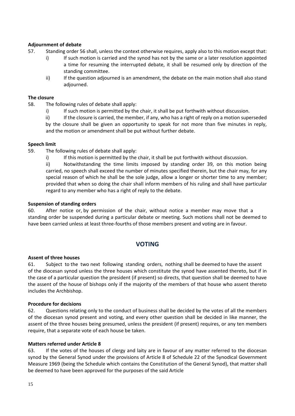#### **Adjournment of debate**

- 57. Standing order 56 shall, unless the context otherwise requires, apply also to this motion except that:
	- i) If such motion is carried and the synod has not by the same or a later resolution appointed a time for resuming the interrupted debate, it shall be resumed only by direction of the standing committee.
	- ii) If the question adjourned is an amendment, the debate on the main motion shall also stand adjourned.

#### **The closure**

- 58. The following rules of debate shall apply:
	- i) If such motion is permitted by the chair, it shall be put forthwith without discussion.

ii) If the closure is carried, the member, if any, who has a right of reply on a motion superseded by the closure shall be given an opportunity to speak for not more than five minutes in reply, and the motion or amendment shall be put without further debate.

#### **Speech limit**

- 59. The following rules of debate shall apply:
	- i) If this motion is permitted by the chair, it shall be put forthwith without discussion.

ii) Notwithstanding the time limits imposed by standing order 39, on this motion being carried, no speech shall exceed the number of minutes specified therein, but the chair may, for any special reason of which he shall be the sole judge, allow a longer or shorter time to any member; provided that when so doing the chair shall inform members of his ruling and shall have particular regard to any member who has a right of reply to the debate.

#### **Suspension of standing orders**

60. After notice or, by permission of the chair, without notice a member may move that a standing order be suspended during a particular debate or meeting. Such motions shall not be deemed to have been carried unless at least three-fourths of those members present and voting are in favour.

## **VOTING**

#### **Assent of three houses**

61. Subject to the two next following standing orders, nothing shall be deemed to have the assent of the diocesan synod unless the three houses which constitute the synod have assented thereto, but if in the case of a particular question the president (if present) so directs, that question shall be deemed to have the assent of the house of bishops only if the majority of the members of that house who assent thereto includes the Archbishop.

#### **Procedure for decisions**

62. Questions relating only to the conduct of business shall be decided by the votes of all the members of the diocesan synod present and voting, and every other question shall be decided in like manner, the assent of the three houses being presumed, unless the president (if present) requires, or any ten members require, that a separate vote of each house be taken.

#### **Matters referred under Article 8**

63. If the votes of the houses of clergy and laity are in favour of any matter referred to the diocesan synod by the General Synod under the provisions of Article 8 of Schedule 22 of the Synodical Government Measure 1969 (being the Schedule which contains the Constitution of the General Synod), that matter shall be deemed to have been approved for the purposes of the said Article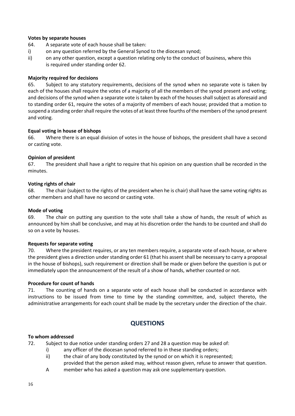#### **Votes by separate houses**

- 64. A separate vote of each house shall be taken:
- i) on any question referred by the General Synod to the diocesan synod;
- ii) on any other question, except a question relating only to the conduct of business, where this is required under standing order 62.

#### **Majority required for decisions**

65. Subject to any statutory requirements, decisions of the synod when no separate vote is taken by each of the houses shall require the votes of a majority of all the members of the synod present and voting; and decisions of the synod when a separate vote is taken by each of the houses shall subject as aforesaid and to standing order 61, require the votes of a majority of members of each house; provided that a motion to suspend a standing order shall require the votes of at least three fourths of the members of the synod present and voting.

#### **Equal voting in house of bishops**

66. Where there is an equal division of votes in the house of bishops, the president shall have a second or casting vote.

#### **Opinion of president**

67. The president shall have a right to require that his opinion on any question shall be recorded in the minutes.

#### **Voting rights of chair**

68. The chair (subject to the rights of the president when he is chair) shall have the same voting rights as other members and shall have no second or casting vote.

#### **Mode of voting**

69. The chair on putting any question to the vote shall take a show of hands, the result of which as announced by him shall be conclusive, and may at his discretion order the hands to be counted and shall do so on a vote by houses.

#### **Requests for separate voting**

70. Where the president requires, or any ten members require, a separate vote of each house, or where the president gives a direction under standing order 61 (that his assent shall be necessary to carry a proposal in the house of bishops), such requirement or direction shall be made or given before the question is put or immediately upon the announcement of the result of a show of hands, whether counted or not.

#### **Procedure for count of hands**

71. The counting of hands on a separate vote of each house shall be conducted in accordance with instructions to be issued from time to time by the standing committee, and, subject thereto, the administrative arrangements for each count shall be made by the secretary under the direction of the chair.

## **QUESTIONS**

#### **To whom addressed**

72. Subject to due notice under standing orders 27 and 28 a question may be asked of:

- i) any officer of the diocesan synod referred to in these standing orders;
- ii) the chair of any body constituted by the synod or on which it is represented;
- provided that the person asked may, without reason given, refuse to answer that question.
- A member who has asked a question may ask one supplementary question.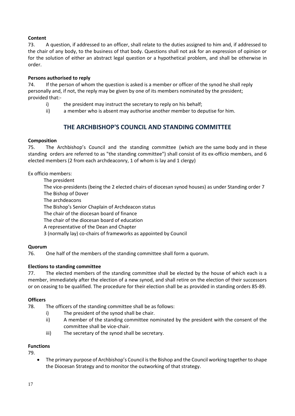#### **Content**

73. A question, if addressed to an officer, shall relate to the duties assigned to him and, if addressed to the chair of any body, to the business of that body. Questions shall not ask for an expression of opinion or for the solution of either an abstract legal question or a hypothetical problem, and shall be otherwise in order.

#### **Persons authorised to reply**

74. If the person of whom the question is asked is a member or officer of the synod he shall reply personally and, if not, the reply may be given by one of its members nominated by the president; provided that:-

- i) the president may instruct the secretary to reply on his behalf;
- ii) a member who is absent may authorise another member to deputise for him.

## **THE ARCHBISHOP'S COUNCIL AND STANDING COMMITTEE**

#### **Composition**

75. The Archbishop's Council and the standing committee (which are the same body and in these standing orders are referred to as "the standing committee") shall consist of its ex-officio members, and 6 elected members (2 from each archdeaconry, 1 of whom is lay and 1 clergy)

Ex officio members:

The president

 The vice-presidents (being the 2 elected chairs of diocesan synod houses) as under Standing order 7 The Bishop of Dover

The archdeacons

The Bishop's Senior Chaplain of Archdeacon status

The chair of the diocesan board of finance

The chair of the diocesan board of education

A representative of the Dean and Chapter

3 (normally lay) co-chairs of frameworks as appointed by Council

#### **Quorum**

76. One half of the members of the standing committee shall form a quorum.

#### **Elections to standing committee**

77. The elected members of the standing committee shall be elected by the house of which each is a member, immediately after the election of a new synod, and shall retire on the election of their successors or on ceasing to be qualified. The procedure for their election shall be as provided in standing orders 85-89.

#### **Officers**

78. The officers of the standing committee shall be as follows:

- i) The president of the synod shall be chair.
- ii) A member of the standing committee nominated by the president with the consent of the committee shall be vice-chair.
- iii) The secretary of the synod shall be secretary.

#### **Functions**

79.

• The primary purpose of Archbishop's Council is the Bishop and the Council working together to shape the Diocesan Strategy and to monitor the outworking of that strategy.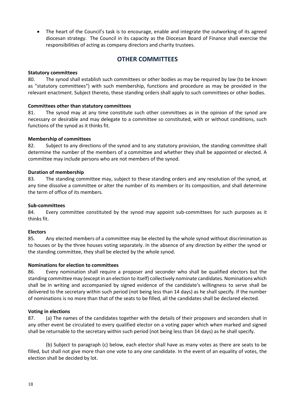• The heart of the Council's task is to encourage, enable and integrate the outworking of its agreed diocesan strategy. The Council in its capacity as the Diocesan Board of Finance shall exercise the responsibilities of acting as company directors and charity trustees.

## **OTHER COMMITTEES**

#### **Statutory committees**

80. The synod shall establish such committees or other bodies as may be required by law (to be known as "statutory committees") with such membership, functions and procedure as may be provided in the relevant enactment. Subject thereto, these standing orders shall apply to such committees or other bodies.

#### **Committees other than statutory committees**

81. The synod may at any time constitute such other committees as in the opinion of the synod are necessary or desirable and may delegate to a committee so constituted, with or without conditions, such functions of the synod as it thinks fit.

#### **Membership of committees**

82. Subject to any directions of the synod and to any statutory provision, the standing committee shall determine the number of the members of a committee and whether they shall be appointed or elected. A committee may include persons who are not members of the synod.

#### **Duration of membership**

83. The standing committee may, subject to these standing orders and any resolution of the synod, at any time dissolve a committee or alter the number of its members or its composition, and shall determine the term of office of its members.

#### **Sub-committees**

84. Every committee constituted by the synod may appoint sub-committees for such purposes as it thinks fit.

#### **Electors**

85. Any elected members of a committee may be elected by the whole synod without discrimination as to houses or by the three houses voting separately. In the absence of any direction by either the synod or the standing committee, they shall be elected by the whole synod.

#### **Nominations for election to committees**

86. Every nomination shall require a proposer and seconder who shall be qualified electors but the standing committee may (except in an election to itself) collectively nominate candidates. Nominations which shall be in writing and accompanied by signed evidence of the candidate's willingness to serve shall be delivered to the secretary within such period (not being less than 14 days) as he shall specify. If the number of nominations is no more than that of the seats to be filled, all the candidates shall be declared elected.

#### **Voting in elections**

87. (a) The names of the candidates together with the details of their proposers and seconders shall in any other event be circulated to every qualified elector on a voting paper which when marked and signed shall be returnable to the secretary within such period (not being less than 14 days) as he shall specify.

(b) Subject to paragraph (c) below, each elector shall have as many votes as there are seats to be filled, but shall not give more than one vote to any one candidate. In the event of an equality of votes, the election shall be decided by lot.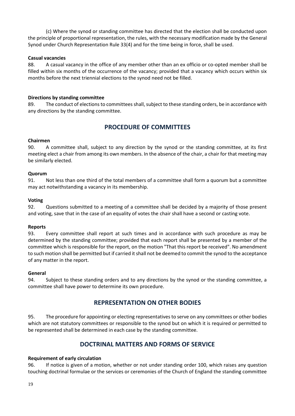(c) Where the synod or standing committee has directed that the election shall be conducted upon the principle of proportional representation, the rules, with the necessary modification made by the General Synod under Church Representation Rule 33(4) and for the time being in force, shall be used.

#### **Casual vacancies**

88. A casual vacancy in the office of any member other than an ex officio or co-opted member shall be filled within six months of the occurrence of the vacancy; provided that a vacancy which occurs within six months before the next triennial elections to the synod need not be filled.

#### **Directions by standing committee**

89. The conduct of elections to committees shall, subject to these standing orders, be in accordance with any directions by the standing committee.

## **PROCEDURE OF COMMITTEES**

#### **Chairmen**

90. A committee shall, subject to any direction by the synod or the standing committee, at its first meeting elect a chair from among its own members. In the absence of the chair, a chair for that meeting may be similarly elected.

#### **Quorum**

91. Not less than one third of the total members of a committee shall form a quorum but a committee may act notwithstanding a vacancy in its membership.

#### **Voting**

92. Questions submitted to a meeting of a committee shall be decided by a majority of those present and voting, save that in the case of an equality of votes the chair shall have a second or casting vote.

#### **Reports**

93. Every committee shall report at such times and in accordance with such procedure as may be determined by the standing committee; provided that each report shall be presented by a member of the committee which is responsible for the report, on the motion "That this report be received". No amendment to such motion shall be permitted but if carried it shall not be deemed to commit the synod to the acceptance of any matter in the report.

#### **General**

94. Subject to these standing orders and to any directions by the synod or the standing committee, a committee shall have power to determine its own procedure.

## **REPRESENTATION ON OTHER BODIES**

95. The procedure for appointing or electing representatives to serve on any committees or other bodies which are not statutory committees or responsible to the synod but on which it is required or permitted to be represented shall be determined in each case by the standing committee.

## **DOCTRINAL MATTERS AND FORMS OF SERVICE**

#### **Requirement of early circulation**

96. If notice is given of a motion, whether or not under standing order 100, which raises any question touching doctrinal formulae or the services or ceremonies of the Church of England the standing committee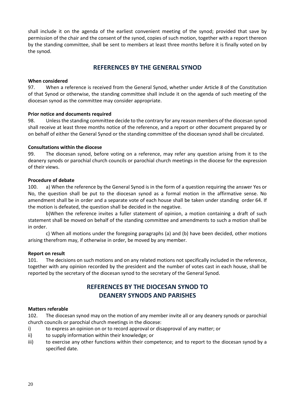shall include it on the agenda of the earliest convenient meeting of the synod; provided that save by permission of the chair and the consent of the synod, copies of such motion, together with a report thereon by the standing committee, shall be sent to members at least three months before it is finally voted on by the synod.

## **REFERENCES BY THE GENERAL SYNOD**

#### **When considered**

97. When a reference is received from the General Synod, whether under Article 8 of the Constitution of that Synod or otherwise, the standing committee shall include it on the agenda of such meeting of the diocesan synod as the committee may consider appropriate.

#### **Prior notice and documents required**

98. Unless the standing committee decide to the contrary for any reason members of the diocesan synod shall receive at least three months notice of the reference, and a report or other document prepared by or on behalf of either the General Synod or the standing committee of the diocesan synod shall be circulated.

#### **Consultations within the diocese**

99. The diocesan synod, before voting on a reference, may refer any question arising from it to the deanery synods or parochial church councils or parochial church meetings in the diocese for the expression of their views.

#### **Procedure of debate**

100. a) When the reference by the General Synod is in the form of a question requiring the answer Yes or No, the question shall be put to the diocesan synod as a formal motion in the affirmative sense. No amendment shall be in order and a separate vote of each house shall be taken under standing order 64. If the motion is defeated, the question shall be decided in the negative.

b)When the reference invites a fuller statement of opinion, a motion containing a draft of such statement shall be moved on behalf of the standing committee and amendments to such a motion shall be in order.

c) When all motions under the foregoing paragraphs (a) and (b) have been decided, other motions arising therefrom may, if otherwise in order, be moved by any member.

#### **Report on result**

101. The decisions on such motions and on any related motions not specifically included in the reference, together with any opinion recorded by the president and the number of votes cast in each house, shall be reported by the secretary of the diocesan synod to the secretary of the General Synod.

## **REFERENCES BY THE DIOCESAN SYNOD TO DEANERY SYNODS AND PARISHES**

#### **Matters referable**

102. The diocesan synod may on the motion of any member invite all or any deanery synods or parochial church councils or parochial church meetings in the diocese:

- i) to express an opinion on or to record approval or disapproval of any matter; or
- ii) to supply information within their knowledge; or
- iii) to exercise any other functions within their competence; and to report to the diocesan synod by a specified date.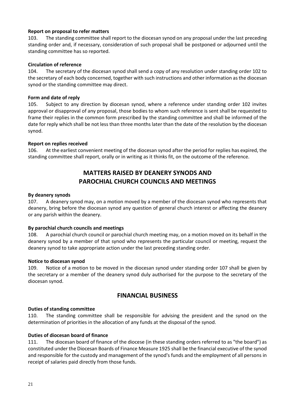#### **Report on proposal to refer matters**

103. The standing committee shall report to the diocesan synod on any proposal under the last preceding standing order and, if necessary, consideration of such proposal shall be postponed or adjourned until the standing committee has so reported.

#### **Circulation of reference**

104. The secretary of the diocesan synod shall send a copy of any resolution under standing order 102 to the secretary of each body concerned, together with such instructions and other information as the diocesan synod or the standing committee may direct.

#### **Form and date of reply**

105. Subject to any direction by diocesan synod, where a reference under standing order 102 invites approval or disapproval of any proposal, those bodies to whom such reference is sent shall be requested to frame their replies in the common form prescribed by the standing committee and shall be informed of the date for reply which shall be not less than three months later than the date of the resolution by the diocesan synod.

#### **Report on replies received**

106. At the earliest convenient meeting of the diocesan synod after the period for replies has expired, the standing committee shall report, orally or in writing as it thinks fit, on the outcome of the reference.

## **MATTERS RAISED BY DEANERY SYNODS AND PAROCHIAL CHURCH COUNCILS AND MEETINGS**

#### **By deanery synods**

107. A deanery synod may, on a motion moved by a member of the diocesan synod who represents that deanery, bring before the diocesan synod any question of general church interest or affecting the deanery or any parish within the deanery.

#### **By parochial church councils and meetings**

108. A parochial church council or parochial church meeting may, on a motion moved on its behalf in the deanery synod by a member of that synod who represents the particular council or meeting, request the deanery synod to take appropriate action under the last preceding standing order.

#### **Notice to diocesan synod**

109. Notice of a motion to be moved in the diocesan synod under standing order 107 shall be given by the secretary or a member of the deanery synod duly authorised for the purpose to the secretary of the diocesan synod.

#### **FINANCIAL BUSINESS**

#### **Duties of standing committee**

110. The standing committee shall be responsible for advising the president and the synod on the determination of priorities in the allocation of any funds at the disposal of the synod.

#### **Duties of diocesan board of finance**

111. The diocesan board of finance of the diocese (in these standing orders referred to as "the board") as constituted under the Diocesan Boards of Finance Measure 1925 shall be the financial executive of the synod and responsible for the custody and management of the synod's funds and the employment of all persons in receipt of salaries paid directly from those funds.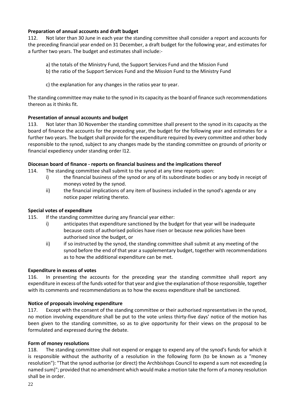#### **Preparation of annual accounts and draft budget**

112. Not later than 30 June in each year the standing committee shall consider a report and accounts for the preceding financial year ended on 31 December, a draft budget for the following year, and estimates for a further two years. The budget and estimates shall include:-

- a) the totals of the Ministry Fund, the Support Services Fund and the Mission Fund
- b) the ratio of the Support Services Fund and the Mission Fund to the Ministry Fund
- c) the explanation for any changes in the ratios year to year.

The standing committee may make to the synod in its capacity as the board of finance such recommendations thereon as it thinks fit.

#### **Presentation of annual accounts and budget**

113. Not later than 30 November the standing committee shall present to the synod in its capacity as the board of finance the accounts for the preceding year, the budget for the following year and estimates for a further two years. The budget shall provide for the expenditure required by every committee and other body responsible to the synod, subject to any changes made by the standing committee on grounds of priority or financial expediency under standing order l12.

#### **Diocesan board of finance - reports on financial business and the implications thereof**

- 114. The standing committee shall submit to the synod at any time reports upon:
	- i) the financial business of the synod or any of its subordinate bodies or any body in receipt of moneys voted by the synod.
	- ii) the financial implications of any item of business included in the synod's agenda or any notice paper relating thereto.

#### **Special votes of expenditure**

- 115. If the standing committee during any financial year either:
	- i) anticipates that expenditure sanctioned by the budget for that year will be inadequate because costs of authorised policies have risen or because new policies have been authorised since the budget, or
	- ii) if so instructed by the synod, the standing committee shall submit at any meeting of the synod before the end of that year a supplementary budget, together with recommendations as to how the additional expenditure can be met.

#### **Expenditure in excess of votes**

116. In presenting the accounts for the preceding year the standing committee shall report any expenditure in excess of the funds voted for that year and give the explanation of those responsible, together with its comments and recommendations as to how the excess expenditure shall be sanctioned.

#### **Notice of proposals involving expenditure**

117. Except with the consent of the standing committee or their authorised representatives in the synod, no motion involving expenditure shall be put to the vote unless thirty-five days' notice of the motion has been given to the standing committee, so as to give opportunity for their views on the proposal to be formulated and expressed during the debate.

#### **Form of money resolutions**

118. The standing committee shall not expend or engage to expend any of the synod's funds for which it is responsible without the authority of a resolution in the following form (to be known as a "money resolution"): "That the synod authorise (or direct) the Archbishops Council to expend a sum not exceeding (a named sum)"; provided that no amendment which would make a motion take the form of a money resolution shall be in order.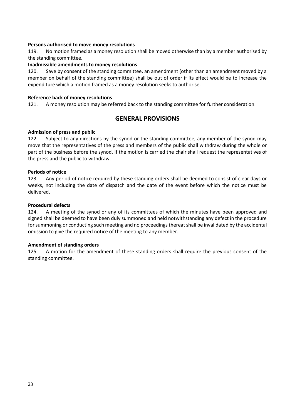#### **Persons authorised to move money resolutions**

119. No motion framed as a money resolution shall be moved otherwise than by a member authorised by the standing committee.

#### **Inadmissible amendments to money resolutions**

120. Save by consent of the standing committee, an amendment (other than an amendment moved by a member on behalf of the standing committee) shall be out of order if its effect would be to increase the expenditure which a motion framed as a money resolution seeks to authorise.

#### **Reference back of money resolutions**

121. A money resolution may be referred back to the standing committee for further consideration.

## **GENERAL PROVISIONS**

#### **Admission of press and public**

122. Subject to any directions by the synod or the standing committee, any member of the synod may move that the representatives of the press and members of the public shall withdraw during the whole or part of the business before the synod. If the motion is carried the chair shall request the representatives of the press and the public to withdraw.

#### **Periods of notice**

123. Any period of notice required by these standing orders shall be deemed to consist of clear days or weeks, not including the date of dispatch and the date of the event before which the notice must be delivered.

#### **Procedural defects**

124. A meeting of the synod or any of its committees of which the minutes have been approved and signed shall be deemed to have been duly summoned and held notwithstanding any defect in the procedure for summoning or conducting such meeting and no proceedings thereat shall be invalidated by the accidental omission to give the required notice of the meeting to any member.

#### **Amendment of standing orders**

125. A motion for the amendment of these standing orders shall require the previous consent of the standing committee.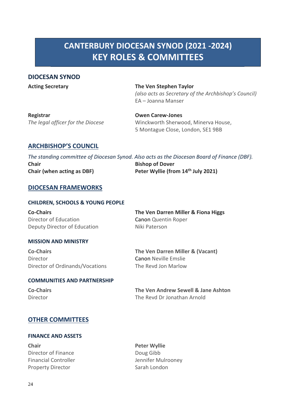## **CANTERBURY DIOCESAN SYNOD (2021 -2024) KEY ROLES & COMMITTEES**

## **DIOCESAN SYNOD**

**Acting Secretary The Ven Stephen Taylor** *(also acts as Secretary of the Archbishop's Council)* EA – Joanna Manser

**Registrar Owen Carew-Jones**

*The legal officer for the Diocese* Winckworth Sherwood, Minerva House, 5 Montague Close, London, SE1 9BB

## **ARCHBISHOP'S COUNCIL**

*The standing committee of Diocesan Synod. Also acts as the Diocesan Board of Finance (DBF).* **Chair Bishop of Dover Chair (when acting as DBF) Peter Wyllie (from 14th July 2021)**

## **DIOCESAN FRAMEWORKS**

#### **CHILDREN, SCHOOLS & YOUNG PEOPLE**

**Co-Chairs The Ven Darren Miller & Fiona Higgs** Director of Education Canon Quentin Roper Deputy Director of Education Niki Paterson

#### **MISSION AND MINISTRY**

Director **Canon Neville Emslie** Director of Ordinands/Vocations The Revd Jon Marlow

#### **COMMUNITIES AND PARTNERSHIP**

**Co-Chairs The Ven Darren Miller & (Vacant)**

**Co-Chairs The Ven Andrew Sewell & Jane Ashton** Director The Revd Dr Jonathan Arnold

## **OTHER COMMITTEES**

#### **FINANCE AND ASSETS**

**Chair Peter Wyllie** Director of Finance Doug Gibb Property Director **Sarah London** Sarah London

Financial Controller **Jennifer Mulrooney**